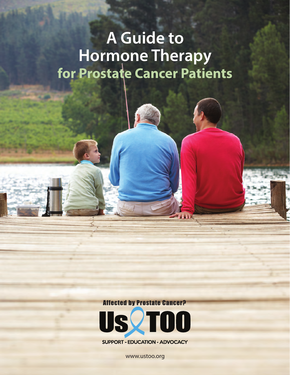# **A Guide to Hormone Therapy for Prostate Cancer Patients**

**Affected by Prostate Cancer?** 



**SUPPORT - EDUCATION - ADVOCACY** 

www.ustoo.org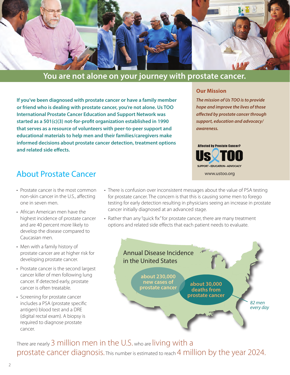

### **You are not alone on your journey with prostate cancer.**

**If you've been diagnosed with prostate cancer or have a family member or friend who is dealing with prostate cancer, you're not alone. Us TOO International Prostate Cancer Education and Support Network was started as a 501(c)(3) not-for-profit organization established in 1990 that serves as a resource of volunteers with peer-to-peer support and educational materials to help men and their families/caregivers make informed decisions about prostate cancer detection, treatment options and related side effects.**

### **Our Mission**

*The mission of Us TOO is to provide hope and improve the lives of those affected by prostate cancer through support, education and advocacy/ awareness.*



### About Prostate Cancer

- Prostate cancer is the most common non-skin cancer in the U.S., affecting one in seven men.
- African American men have the highest incidence of prostate cancer and are 40 percent more likely to develop the disease compared to Caucasian men.
- Men with a family history of prostate cancer are at higher risk for developing prostate cancer.
- Prostate cancer is the second largest cancer killer of men following lung cancer. If detected early, prostate cancer is often treatable.
- Screening for prostate cancer includes a PSA (prostate specific antigen) blood test and a DRE (digital rectal exam). A biopsy is required to diagnose prostate cancer.
- There is confusion over inconsistent messages about the value of PSA testing for prostate cancer. The concern is that this is causing some men to forego testing for early detection resulting in physicians seeing an increase in prostate cancer initially diagnosed at an advanced stage.
- Rather than any "quick fix" for prostate cancer, there are many treatment options and related side effects that each patient needs to evaluate.



There are nearly 3 million men in the U.S. who are living with a prostate cancer diagnosis. This number is estimated to reach 4 million by the year 2024.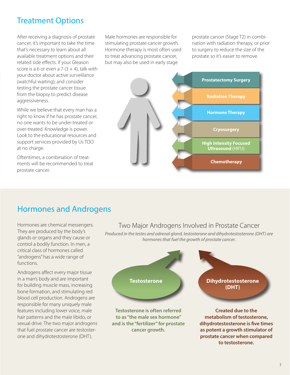### Treatment Options

After receiving a diagnosis of prostate cancer, it's important to take the time that's necessary to learn about all available treatment options and their related side effects. If your Gleason score is a 6 or even a 7  $(3 + 4)$ , talk with your doctor about active surveillance (watchful waiting); and consider testing the prostate cancer tissue from the biopsy to predict disease aggressiveness.

While we believe that every man has a right to know if he has prostate cancer, no one wants to be under-treated or over-treated. Knowledge is power. Look to the educational resources and support services provided by Us TOO at no charge.

Oftentimes, a combination of treatments will be recommended to treat prostate cancer.

Male hormones are responsible for stimulating prostate cancer growth. Hormone therapy is most often used to treat advancing prostate cancer, but may also be used in early stage

prostate cancer (Stage T2) in combination with radiation therapy, or prior to surgery to reduce the size of the prostate so it's easier to remove.



## Hormones and Androgens

Hormones are chemical messengers. They are produced by the body's glands or organs and they cause or control a bodily function. In men, a critical class of hormones called "androgens" has a wide range of functions.

Androgens affect every major tissue in a man's body and are important for building muscle mass, increasing bone formation, and stimulating red blood cell production. Androgens are responsible for many uniquely male features including lower voice, male hair patterns and the male libido, or sexual drive. The two major androgens that fuel prostate cancer are testosterone and dihydrotestosterone (DHT).

### Two Major Androgens Involved in Prostate Cancer

*Produced in the testes and adrenal gland, testosterone and dihydrotestosterone (DHT) are hormones that fuel the growth of prostate cancer.* 



**and is the "fertilizer" for prostate cancer growth.** 

**metabolism of testosterone, dihydrotestosterone is five times as potent a growth stimulator of prostate cancer when compared to testosterone.**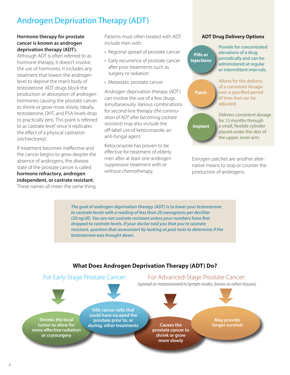# Androgen Deprivation Therapy (ADT)

### **Hormone therapy for prostate cancer is known as androgen deprivation therapy (ADT).**

Although ADT is often referred to as hormone therapy, it doesn't involve the use of hormones. It includes any treatment that lowers the androgen level to deprive the man's body of testosterone. ADT drugs block the production or absorption of androgen hormones causing the prostate cancer to shrink or grow more slowly. Ideally, testosterone, DHT, and PSA levels drop to practically zero. This point is referred to as 'castrate level' since it replicates the effect of a physical castration (orchiectomy).

If treatment becomes ineffective and the cancer begins to grow despite the absence of androgens, the disease state of the prostate cancer is called **hormone refractory, androgen independent, or castrate resistant.** These names all mean the same thing.

Patients most often treated with ADT include men with:

- Regional spread of prostate cancer
- Early recurrence of prostate cancer after prior treatments such as surgery or radiation
- Metastatic prostate cancer

Androgen deprivation therapy (ADT) can involve the use of a few drugs simultaneously. Various combinations for second-line therapy *(the continuation of ADT after becoming castrate resistant)* may also include the off-label use of ketoconazole, an anti-fungal agent.

Ketoconazole has proven to be effective for treatment of elderly men after at least one androgen suppressive treatment with or without chemotherapy.

### **ADT Drug Delivery Options**

| <b>Pills or</b><br><b>Injections</b> | <b>Provide for concentrated</b><br>elevations of a drug<br>periodically and can be<br>administered at regular<br>or intermittent intervals. |
|--------------------------------------|---------------------------------------------------------------------------------------------------------------------------------------------|
| <b>Patch</b>                         | Allows for the delivery<br>of a consistent dosage<br>over a specified period<br>of time that can be<br>adjusted.                            |
| <b>Implant</b>                       | Delivers consistent dosage<br>for 12 months through<br>a small, flexible cylinder<br>placed under the skin of<br>the upper, inner arm.      |

Estrogen patches are another alternative means to stop or counter the production of androgens.

*The goal of androgen deprivation therapy (ADT) is to lower your testosterone to castrate levels with a reading of less than 20 nanograms per deciliter (20 ng/dl). You are not castrate resistant unless your numbers have first dropped to castrate levels. If your doctor told you that you're castrate resistant, question that assessment by looking at past tests to determine if the testosterone was brought down.*

### **What Does Androgen Deprivation Therapy (ADT) Do?**

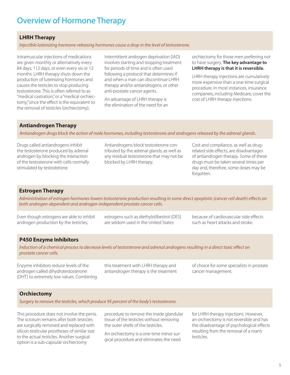### Overview of Hormone Therapy

#### **LHRH Therapy**

*Injectible luteinizing hormone-releasing hormones cause a drop in the level of testosterone.* 

Intramuscular injections of medications are given monthly or alternatively every 84 days, 112 days, or even every six or 12 months. LHRH therapy shuts down the production of luteinizing hormones and causes the testicles to stop producing testosterone. This is often referred to as "medical castration," or a "medical orchiectomy," since the effect is the equivalent to the removal of testicles (orchiectomy).

Intermittent androgen deprivation (IAD) involves starting and stopping treatment for periods of time and is often used following a protocol that determines if and when a man can discontinue LHRH therapy and/or antiandrogens, or other anti-prostate cancer agents.

An advantage of LHRH therapy is the elimination of the need for an orchiectomy for those men preferring not to have surgery. **The key advantage to LHRH therapy is that it is reversible.**

LHRH therapy injections are cumulatively more expensive than a one-time surgical procedure. In most instances, insurance companies, including Medicare, cover the cost of LHRH therapy injections.

### **Antiandrogen Therapy**

*Antiandrogen drugs block the action of male hormones, including testosterone and androgens released by the adrenal glands.*

Drugs called antiandrogens inhibit the testosterone produced by adrenal androgen by blocking the interaction of the testosterone with cells normally stimulated by testosterone.

Antiandrogens block testosterone contributed by the adrenal glands, as well as any residual testosterone that may not be blocked by LHRH therapy.

Cost and compliance, as well as drugrelated side effects, are disadvantages of antiandrogen therapy. Some of these drugs must be taken several times per day and, therefore, some doses may be forgotten.

### **Estrogen Therapy**

*Administration of estrogen hormones lowers testosterone production resulting in some direct apoptotic (cancer cell death) effects on both androgen-dependent and androgen-independent prostate cancer cells.*

Even though estrogens are able to inhibit androgen production by the testicles,

estrogens such as diethylstilbestrol (DES) are seldom used in the United States

because of cardiovascular side effects such as heart attacks and stroke.

### **P450 Enzyme Inhibitors**

*Induction of a chemical process to decrease levels of testosterone and adrenal androgens resulting in a direct toxic effect on prostate cancer cells.*

Enzyme inhibitors reduce levels of the androgen called dihydrotestosterone (DHT) to extremely low values. Combining this treatment with LHRH therapy and antiandrogen therapy is the treatment of choice for some specialists in prostate cancer management.

### **Orchiectomy**

*Surgery to remove the testicles, which produce 95 percent of the body's testosterone.*

This procedure does not involve the penis. The scrotum remains after both testicles are surgically removed and replaced with silicon testicular prostheses of similar size to the actual testicles. Another surgical option is a sub-capsular orchiectomy

procedure to remove the inside glandular tissue of the testicles without removing the outer shells of the testicles.

An orchiectomy is a one-time minor surgical procedure and eliminates the need

for LHRH therapy injections. However, an orchiectomy is not reversible and has the disadvantage of psychological effects resulting from the removal of a man's testicles.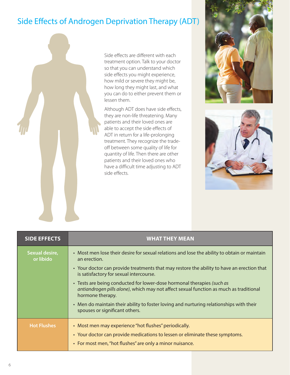# Side Effects of Androgen Deprivation Therapy (ADT)



Side effects are different with each treatment option. Talk to your doctor so that you can understand which side effects you might experience, how mild or severe they might be, how long they might last, and what you can do to either prevent them or lessen them.

Although ADT does have side effects, they are non-life threatening. Many patients and their loved ones are able to accept the side effects of ADT in return for a life-prolonging treatment. They recognize the tradeoff between some quality of life for quantity of life. Then there are other patients and their loved ones who have a difficult time adjusting to ADT side effects.





| <b>SIDE EFFECTS</b>         | <b>WHAT THEY MEAN</b>                                                                                                                                                                                                                                                                                                                                                                                                                                                                                                                                                      |  |
|-----------------------------|----------------------------------------------------------------------------------------------------------------------------------------------------------------------------------------------------------------------------------------------------------------------------------------------------------------------------------------------------------------------------------------------------------------------------------------------------------------------------------------------------------------------------------------------------------------------------|--|
| Sexual desire,<br>or libido | • Most men lose their desire for sexual relations and lose the ability to obtain or maintain<br>an erection.<br>• Your doctor can provide treatments that may restore the ability to have an erection that<br>is satisfactory for sexual intercourse.<br>• Tests are being conducted for lower-dose hormonal therapies (such as<br>antiandrogen pills alone), which may not affect sexual function as much as traditional<br>hormone therapy.<br>• Men do maintain their ability to foster loving and nurturing relationships with their<br>spouses or significant others. |  |
| <b>Hot Flushes</b>          | • Most men may experience "hot flushes" periodically.<br>• Your doctor can provide medications to lessen or eliminate these symptoms.<br>• For most men, "hot flushes" are only a minor nuisance.                                                                                                                                                                                                                                                                                                                                                                          |  |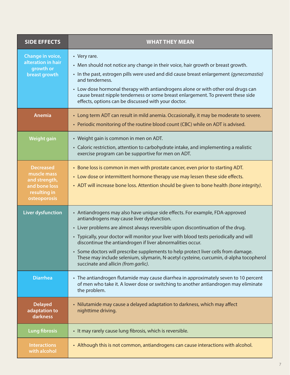| <b>SIDE EFFECTS</b>                                                                               | <b>WHAT THEY MEAN</b>                                                                                                                                                                                                                                                                                                                                                                                                                                                                                                                                                                          |  |
|---------------------------------------------------------------------------------------------------|------------------------------------------------------------------------------------------------------------------------------------------------------------------------------------------------------------------------------------------------------------------------------------------------------------------------------------------------------------------------------------------------------------------------------------------------------------------------------------------------------------------------------------------------------------------------------------------------|--|
| Change in voice,<br>alteration in hair<br>growth or<br>breast growth                              | • Very rare.<br>• Men should not notice any change in their voice, hair growth or breast growth.<br>• In the past, estrogen pills were used and did cause breast enlargement (gynecomastia)<br>and tenderness.<br>• Low dose hormonal therapy with antiandrogens alone or with other oral drugs can<br>cause breast nipple tenderness or some breast enlargement. To prevent these side<br>effects, options can be discussed with your doctor.                                                                                                                                                 |  |
| Anemia                                                                                            | • Long term ADT can result in mild anemia. Occasionally, it may be moderate to severe.<br>• Periodic monitoring of the routine blood count (CBC) while on ADT is advised.                                                                                                                                                                                                                                                                                                                                                                                                                      |  |
| <b>Weight gain</b>                                                                                | • Weight gain is common in men on ADT.<br>• Caloric restriction, attention to carbohydrate intake, and implementing a realistic<br>exercise program can be supportive for men on ADT.                                                                                                                                                                                                                                                                                                                                                                                                          |  |
| <b>Decreased</b><br>muscle mass<br>and strength,<br>and bone loss<br>resulting in<br>osteoporosis | • Bone loss is common in men with prostate cancer, even prior to starting ADT.<br>• Low dose or intermittent hormone therapy use may lessen these side effects.<br>• ADT will increase bone loss. Attention should be given to bone health (bone integrity).                                                                                                                                                                                                                                                                                                                                   |  |
| <b>Liver dysfunction</b>                                                                          | • Antiandrogens may also have unique side effects. For example, FDA-approved<br>antiandrogens may cause liver dysfunction.<br>• Liver problems are almost always reversible upon discontinuation of the drug.<br>• Typically, your doctor will monitor your liver with blood tests periodically and will<br>discontinue the antiandrogen if liver abnormalities occur.<br>• Some doctors will prescribe supplements to help protect liver cells from damage.<br>These may include selenium, silymarin, N-acetyl cysteine, curcumin, d-alpha tocopherol<br>succinate and allicin (from garlic). |  |
| <b>Diarrhea</b>                                                                                   | • The antiandrogen flutamide may cause diarrhea in approximately seven to 10 percent<br>of men who take it. A lower dose or switching to another antiandrogen may eliminate<br>the problem.                                                                                                                                                                                                                                                                                                                                                                                                    |  |
| <b>Delayed</b><br>adaptation to<br>darkness                                                       | • Nilutamide may cause a delayed adaptation to darkness, which may affect<br>nighttime driving.                                                                                                                                                                                                                                                                                                                                                                                                                                                                                                |  |
| <b>Lung fibrosis</b>                                                                              | • It may rarely cause lung fibrosis, which is reversible.                                                                                                                                                                                                                                                                                                                                                                                                                                                                                                                                      |  |
| <b>Interactions</b><br>with alcohol                                                               | • Although this is not common, antiandrogens can cause interactions with alcohol.                                                                                                                                                                                                                                                                                                                                                                                                                                                                                                              |  |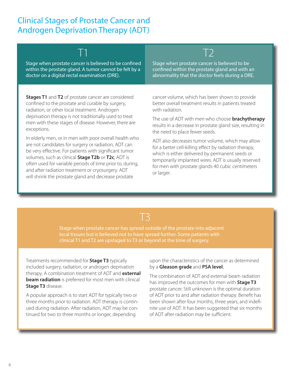## Clinical Stages of Prostate Cancer and Androgen Deprivation Therapy (ADT)



Stage when prostate cancer is believed to be confined within the prostate gland. A tumor cannot be felt by a doctor on a digital rectal examination (DRE).

T1

Stage when prostate cancer is believed to be confined within the prostate gland and with an abnormality that the doctor feels during a DRE.

**Stages T1** and **T2** of prostate cancer are considered confined to the prostate and curable by surgery, radiation, or other local treatment. Androgen deprivation therapy is not traditionally used to treat men with these stages of disease. However, there are exceptions.

In elderly men, or in men with poor overall health who are not candidates for surgery or radiation, ADT can be very effective. For patients with significant tumor volumes, such as clinical **Stage T2b** or **T2c**, ADT is often used for variable periods of time prior to, during, and after radiation treatment or cryosurgery. ADT will shrink the prostate gland and decrease prostate

cancer volume, which has been shown to provide better overall treatment results in patients treated with radiation.

The use of ADT with men who choose **brachytherapy** results in a decrease in prostate gland size, resulting in the need to place fewer seeds.

ADT also decreases tumor volume, which may allow for a better cell-killing effect by radiation therapy, which is either delivered by permanent seeds or temporarily implanted wires. ADT is usually reserved for men with prostate glands 40 cubic centimeters or larger.

 $T3$ 

Stage when prostate cancer has spread outside of the prostate into adjacent clinical T1 and T2 are upstaged to T3 or beyond at the time of surgery.

Treatments recommended for **Stage T3** typically included surgery, radiation, or androgen deprivation therapy. A combination treatment of ADT and **external beam radiation** is preferred for most men with clinical **Stage T3** disease.

A popular approach is to start ADT for typically two or three months prior to radiation. ADT therapy is continued during radiation. After radiation, ADT may be continued for two to three months or longer, depending

upon the characteristics of the cancer as determined by a **Gleason grade** and **PSA level**.

The combination of ADT and external beam radiation has improved the outcomes for men with **Stage T3** prostate cancer. Still unknown is the optimal duration of ADT prior to and after radiation therapy. Benefit has been shown after four months, three years, and indefinite use of ADT. It has been suggested that six months of ADT after radiation may be sufficient.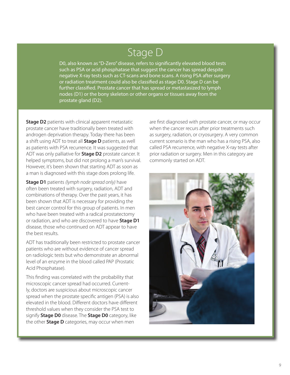# Stage D

D0, also known as "D-Zero" disease, refers to significantly elevated blood tests such as PSA or acid phosphatase that suggest the cancer has spread despite negative X-ray tests such as CT-scans and bone scans. A rising PSA after surgery or radiation treatment could also be classified as stage D0. Stage D can be further classified. Prostate cancer that has spread or metastasized to lymph nodes (D1) or the bony skeleton or other organs or tissues away from the prostate gland (D2).

**Stage D2** patients with clinical apparent metastatic prostate cancer have traditionally been treated with androgen deprivation therapy. Today there has been a shift using ADT to treat all **Stage D** patients, as well as patients with PSA recurrence. It was suggested that ADT was only palliative for **Stage D2** prostate cancer. It helped symptoms, but did not prolong a man's survival. However, it's been shown that starting ADT as soon as a man is diagnosed with this stage does prolong life.

**Stage D1** patients *(lymph node spread only)* have often been treated with surgery, radiation, ADT and combinations of therapy. Over the past years, it has been shown that ADT is necessary for providing the best cancer control for this group of patients. In men who have been treated with a radical prostatectomy or radiation, and who are discovered to have **Stage D1** disease, those who continued on ADT appear to have the best results.

ADT has traditionally been restricted to prostate cancer patients who are without evidence of cancer spread on radiologic tests but who demonstrate an abnormal level of an enzyme in the blood called PAP (Prostatic Acid Phosphatase).

This finding was correlated with the probability that microscopic cancer spread had occurred. Currently, doctors are suspicious about microscopic cancer spread when the prostate specific antigen (PSA) is also elevated in the blood. Different doctors have different threshold values when they consider the PSA test to signify **Stage D0** disease. The **Stage D0** category, like the other **Stage D** categories, may occur when men

are first diagnosed with prostate cancer, or may occur when the cancer recurs after prior treatments such as surgery, radiation, or cryosurgery. A very common current scenario is the man who has a rising PSA, also called PSA recurrence, with negative X-ray tests after prior radiation or surgery. Men in this category are commonly started on ADT.

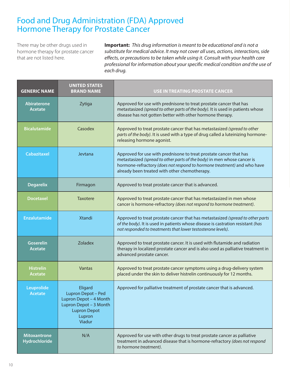### Food and Drug Administration (FDA) Approved Hormone Therapy for Prostate Cancer

There may be other drugs used in hormone therapy for prostate cancer that are not listed here.

**Important:** *This drug information is meant to be educational and is not a substitute for medical advice. It may not cover all uses, actions, interactions, side effects, or precautions to be taken while using it. Consult with your health care professional for information about your specific medical condition and the use of each drug.*

| <b>GENERIC NAME</b>                  | <b>UNITED STATES</b><br><b>BRAND NAME</b>                                                                                    | <b>USE IN TREATING PROSTATE CANCER</b>                                                                                                                                                                                                                                    |
|--------------------------------------|------------------------------------------------------------------------------------------------------------------------------|---------------------------------------------------------------------------------------------------------------------------------------------------------------------------------------------------------------------------------------------------------------------------|
| <b>Abiraterone</b><br><b>Acetate</b> | Zytiga                                                                                                                       | Approved for use with prednisone to treat prostate cancer that has<br>metastasized (spread to other parts of the body). It is used in patients whose<br>disease has not gotten better with other hormone therapy.                                                         |
| <b>Bicalutamide</b>                  | Casodex                                                                                                                      | Approved to treat prostate cancer that has metastasized (spread to other<br>parts of the body). It is used with a type of drug called a luteinizing hormone-<br>releasing hormone agonist.                                                                                |
| <b>Cabazitaxel</b>                   | Jevtana                                                                                                                      | Approved for use with prednisone to treat prostate cancer that has<br>metastasized (spread to other parts of the body) in men whose cancer is<br>hormone-refractory (does not respond to hormone treatment) and who have<br>already been treated with other chemotherapy. |
| <b>Degarelix</b>                     | Firmagon                                                                                                                     | Approved to treat prostate cancer that is advanced.                                                                                                                                                                                                                       |
| <b>Docetaxel</b>                     | <b>Taxotere</b>                                                                                                              | Approved to treat prostate cancer that has metastasized in men whose<br>cancer is hormone-refractory (does not respond to hormone treatment).                                                                                                                             |
| <b>Enzalutamide</b>                  | <b>Xtandi</b>                                                                                                                | Approved to treat prostate cancer that has metastasized (spread to other parts<br>of the body). It is used in patients whose disease is castration resistant (has<br>not responded to treatments that lower testosterone levels).                                         |
| <b>Goserelin</b><br><b>Acetate</b>   | <b>Zoladex</b>                                                                                                               | Approved to treat prostate cancer. It is used with flutamide and radiation<br>therapy in localized prostate cancer and is also used as palliative treatment in<br>advanced prostate cancer.                                                                               |
| <b>Histrelin</b><br><b>Acetate</b>   | Vantas                                                                                                                       | Approved to treat prostate cancer symptoms using a drug-delivery system<br>placed under the skin to deliver histrelin continuously for 12 months.                                                                                                                         |
| Leuprolide<br>Acetate                | Eligard<br>Lupron Depot - Ped<br>Lupron Depot - 4 Month<br>Lupron Depot - 3 Month<br><b>Lupron Depot</b><br>Lupron<br>Viadur | Approved for palliative treatment of prostate cancer that is advanced.                                                                                                                                                                                                    |
| <b>Mitoxantrone</b><br>Hydrochloride | N/A                                                                                                                          | Approved for use with other drugs to treat prostate cancer as palliative<br>treatment in advanced disease that is hormone-refractory (does not respond<br>to hormone treatment).                                                                                          |